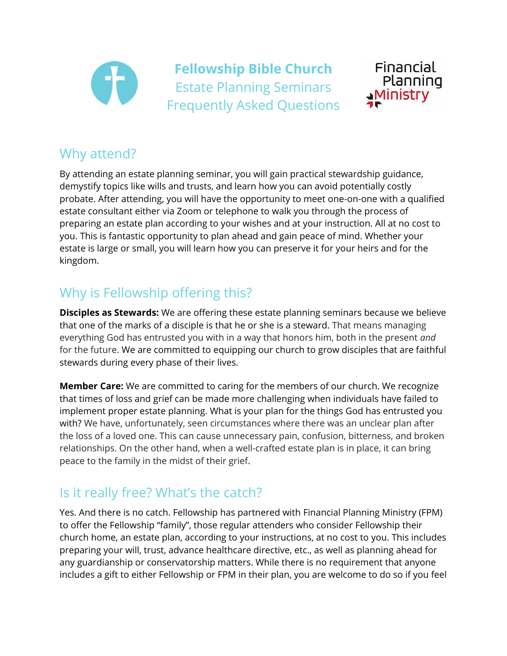

**Fellowship Bible Church** Estate Planning Seminars Frequently Asked Questions



#### Why attend?

By attending an estate planning seminar, you will gain practical stewardship guidance, demystify topics like wills and trusts, and learn how you can avoid potentially costly probate. After attending, you will have the opportunity to meet one-on-one with a qualified estate consultant either via Zoom or telephone to walk you through the process of preparing an estate plan according to your wishes and at your instruction. All at no cost to you. This is fantastic opportunity to plan ahead and gain peace of mind. Whether your estate is large or small, you will learn how you can preserve it for your heirs and for the kingdom.

# Why is Fellowship offering this?

**Disciples as Stewards:** We are offering these estate planning seminars because we believe that one of the marks of a disciple is that he or she is a steward. That means managing everything God has entrusted you with in a way that honors him, both in the present *and* for the future. We are committed to equipping our church to grow disciples that are faithful stewards during every phase of their lives.

**Member Care:** We are committed to caring for the members of our church. We recognize that times of loss and grief can be made more challenging when individuals have failed to implement proper estate planning. What is your plan for the things God has entrusted you with? We have, unfortunately, seen circumstances where there was an unclear plan after the loss of a loved one. This can cause unnecessary pain, confusion, bitterness, and broken relationships. On the other hand, when a well-crafted estate plan is in place, it can bring peace to the family in the midst of their grief.

## Is it really free? What's the catch?

Yes. And there is no catch. Fellowship has partnered with Financial Planning Ministry (FPM) to offer the Fellowship "family", those regular attenders who consider Fellowship their church home, an estate plan, according to your instructions, at no cost to you. This includes preparing your will, trust, advance healthcare directive, etc., as well as planning ahead for any guardianship or conservatorship matters. While there is no requirement that anyone includes a gift to either Fellowship or FPM in their plan, you are welcome to do so if you feel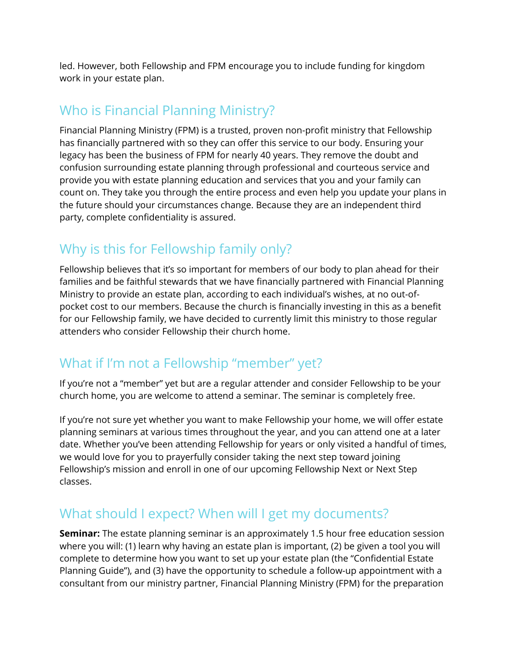led. However, both Fellowship and FPM encourage you to include funding for kingdom work in your estate plan.

#### Who is Financial Planning Ministry?

Financial Planning Ministry (FPM) is a trusted, proven non-profit ministry that Fellowship has financially partnered with so they can offer this service to our body. Ensuring your legacy has been the business of FPM for nearly 40 years. They remove the doubt and confusion surrounding estate planning through professional and courteous service and provide you with estate planning education and services that you and your family can count on. They take you through the entire process and even help you update your plans in the future should your circumstances change. Because they are an independent third party, complete confidentiality is assured.

### Why is this for Fellowship family only?

Fellowship believes that it's so important for members of our body to plan ahead for their families and be faithful stewards that we have financially partnered with Financial Planning Ministry to provide an estate plan, according to each individual's wishes, at no out-ofpocket cost to our members. Because the church is financially investing in this as a benefit for our Fellowship family, we have decided to currently limit this ministry to those regular attenders who consider Fellowship their church home.

### What if I'm not a Fellowship "member" yet?

If you're not a "member" yet but are a regular attender and consider Fellowship to be your church home, you are welcome to attend a seminar. The seminar is completely free.

If you're not sure yet whether you want to make Fellowship your home, we will offer estate planning seminars at various times throughout the year, and you can attend one at a later date. Whether you've been attending Fellowship for years or only visited a handful of times, we would love for you to prayerfully consider taking the next step toward joining Fellowship's mission and enroll in one of our upcoming Fellowship Next or Next Step classes.

### What should I expect? When will I get my documents?

**Seminar:** The estate planning seminar is an approximately 1.5 hour free education session where you will: (1) learn why having an estate plan is important, (2) be given a tool you will complete to determine how you want to set up your estate plan (the "Confidential Estate Planning Guide"), and (3) have the opportunity to schedule a follow-up appointment with a consultant from our ministry partner, Financial Planning Ministry (FPM) for the preparation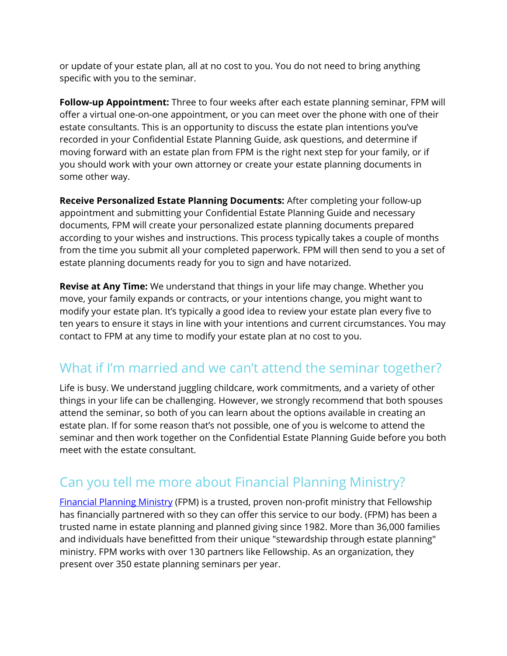or update of your estate plan, all at no cost to you. You do not need to bring anything specific with you to the seminar.

**Follow-up Appointment:** Three to four weeks after each estate planning seminar, FPM will offer a virtual one-on-one appointment, or you can meet over the phone with one of their estate consultants. This is an opportunity to discuss the estate plan intentions you've recorded in your Confidential Estate Planning Guide, ask questions, and determine if moving forward with an estate plan from FPM is the right next step for your family, or if you should work with your own attorney or create your estate planning documents in some other way.

**Receive Personalized Estate Planning Documents:** After completing your follow-up appointment and submitting your Confidential Estate Planning Guide and necessary documents, FPM will create your personalized estate planning documents prepared according to your wishes and instructions. This process typically takes a couple of months from the time you submit all your completed paperwork. FPM will then send to you a set of estate planning documents ready for you to sign and have notarized.

**Revise at Any Time:** We understand that things in your life may change. Whether you move, your family expands or contracts, or your intentions change, you might want to modify your estate plan. It's typically a good idea to review your estate plan every five to ten years to ensure it stays in line with your intentions and current circumstances. You may contact to FPM at any time to modify your estate plan at no cost to you.

### What if I'm married and we can't attend the seminar together?

Life is busy. We understand juggling childcare, work commitments, and a variety of other things in your life can be challenging. However, we strongly recommend that both spouses attend the seminar, so both of you can learn about the options available in creating an estate plan. If for some reason that's not possible, one of you is welcome to attend the seminar and then work together on the Confidential Estate Planning Guide before you both meet with the estate consultant.

## Can you tell me more about Financial Planning Ministry?

[Financial Planning Ministry](https://www.fpm.org/) (FPM) is a trusted, proven non-profit ministry that Fellowship has financially partnered with so they can offer this service to our body. (FPM) has been a trusted name in estate planning and planned giving since 1982. More than 36,000 families and individuals have benefitted from their unique "stewardship through estate planning" ministry. FPM works with over 130 partners like Fellowship. As an organization, they present over 350 estate planning seminars per year.